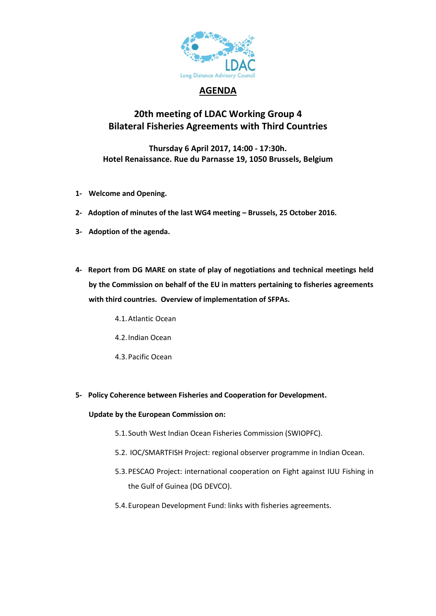

## **AGENDA**

# **20th meeting of LDAC Working Group 4 Bilateral Fisheries Agreements with Third Countries**

**Thursday 6 April 2017, 14:00 - 17:30h. Hotel Renaissance. Rue du Parnasse 19, 1050 Brussels, Belgium**

- **1- Welcome and Opening.**
- **2- Adoption of minutes of the last WG4 meeting – Brussels, 25 October 2016.**
- **3- Adoption of the agenda.**
- **4- Report from DG MARE on state of play of negotiations and technical meetings held by the Commission on behalf of the EU in matters pertaining to fisheries agreements with third countries. Overview of implementation of SFPAs.**
	- 4.1.Atlantic Ocean
	- 4.2.Indian Ocean
	- 4.3.Pacific Ocean
- **5- Policy Coherence between Fisheries and Cooperation for Development.**

### **Update by the European Commission on:**

- 5.1.South West Indian Ocean Fisheries Commission (SWIOPFC).
- 5.2. IOC/SMARTFISH Project: regional observer programme in Indian Ocean.
- 5.3.PESCAO Project: international cooperation on Fight against IUU Fishing in the Gulf of Guinea (DG DEVCO).
- 5.4.European Development Fund: links with fisheries agreements.